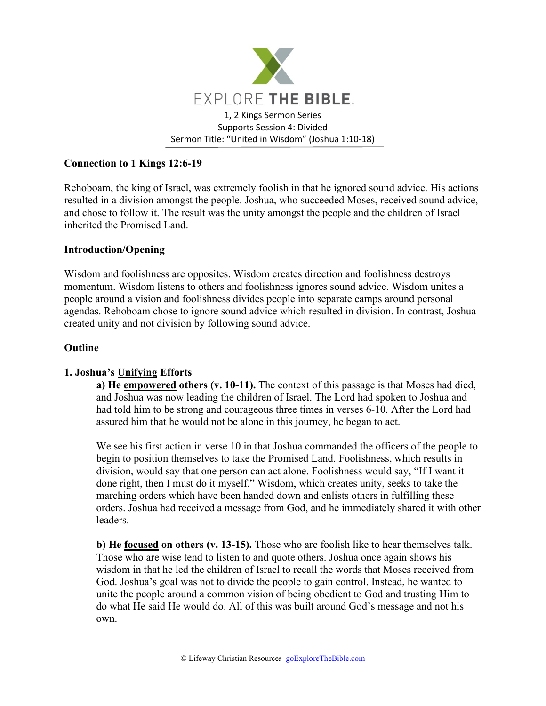

# **Connection to 1 Kings 12:6-19**

Rehoboam, the king of Israel, was extremely foolish in that he ignored sound advice. His actions resulted in a division amongst the people. Joshua, who succeeded Moses, received sound advice, and chose to follow it. The result was the unity amongst the people and the children of Israel inherited the Promised Land.

## **Introduction/Opening**

Wisdom and foolishness are opposites. Wisdom creates direction and foolishness destroys momentum. Wisdom listens to others and foolishness ignores sound advice. Wisdom unites a people around a vision and foolishness divides people into separate camps around personal agendas. Rehoboam chose to ignore sound advice which resulted in division. In contrast, Joshua created unity and not division by following sound advice.

### **Outline**

## **1. Joshua's Unifying Efforts**

**a) He empowered others (v. 10-11).** The context of this passage is that Moses had died, and Joshua was now leading the children of Israel. The Lord had spoken to Joshua and had told him to be strong and courageous three times in verses 6-10. After the Lord had assured him that he would not be alone in this journey, he began to act.

We see his first action in verse 10 in that Joshua commanded the officers of the people to begin to position themselves to take the Promised Land. Foolishness, which results in division, would say that one person can act alone. Foolishness would say, "If I want it done right, then I must do it myself." Wisdom, which creates unity, seeks to take the marching orders which have been handed down and enlists others in fulfilling these orders. Joshua had received a message from God, and he immediately shared it with other leaders.

**b) He focused on others (v. 13-15).** Those who are foolish like to hear themselves talk. Those who are wise tend to listen to and quote others. Joshua once again shows his wisdom in that he led the children of Israel to recall the words that Moses received from God. Joshua's goal was not to divide the people to gain control. Instead, he wanted to unite the people around a common vision of being obedient to God and trusting Him to do what He said He would do. All of this was built around God's message and not his own.